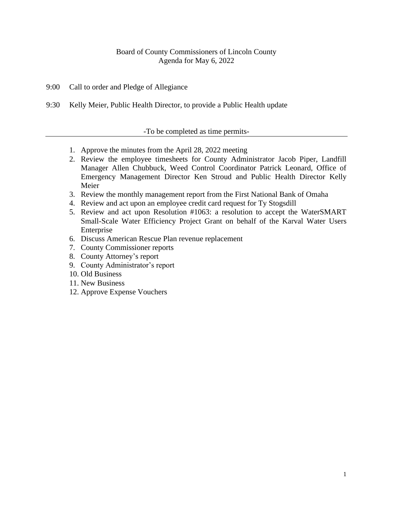# Board of County Commissioners of Lincoln County Agenda for May 6, 2022

- 9:00 Call to order and Pledge of Allegiance
- 9:30 Kelly Meier, Public Health Director, to provide a Public Health update

## -To be completed as time permits-

- 1. Approve the minutes from the April 28, 2022 meeting
- 2. Review the employee timesheets for County Administrator Jacob Piper, Landfill Manager Allen Chubbuck, Weed Control Coordinator Patrick Leonard, Office of Emergency Management Director Ken Stroud and Public Health Director Kelly Meier
- 3. Review the monthly management report from the First National Bank of Omaha
- 4. Review and act upon an employee credit card request for Ty Stogsdill
- 5. Review and act upon Resolution #1063: a resolution to accept the WaterSMART Small-Scale Water Efficiency Project Grant on behalf of the Karval Water Users Enterprise
- 6. Discuss American Rescue Plan revenue replacement
- 7. County Commissioner reports
- 8. County Attorney's report
- 9. County Administrator's report
- 10. Old Business
- 11. New Business
- 12. Approve Expense Vouchers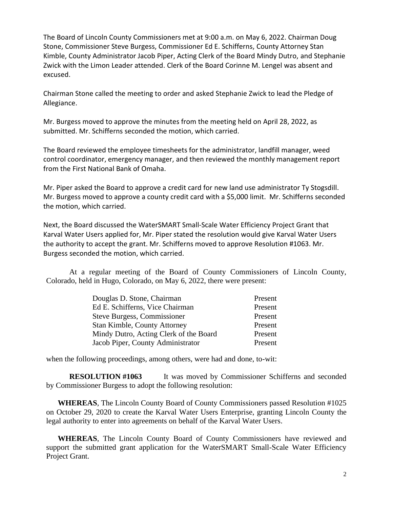The Board of Lincoln County Commissioners met at 9:00 a.m. on May 6, 2022. Chairman Doug Stone, Commissioner Steve Burgess, Commissioner Ed E. Schifferns, County Attorney Stan Kimble, County Administrator Jacob Piper, Acting Clerk of the Board Mindy Dutro, and Stephanie Zwick with the Limon Leader attended. Clerk of the Board Corinne M. Lengel was absent and excused.

Chairman Stone called the meeting to order and asked Stephanie Zwick to lead the Pledge of Allegiance.

Mr. Burgess moved to approve the minutes from the meeting held on April 28, 2022, as submitted. Mr. Schifferns seconded the motion, which carried.

The Board reviewed the employee timesheets for the administrator, landfill manager, weed control coordinator, emergency manager, and then reviewed the monthly management report from the First National Bank of Omaha.

Mr. Piper asked the Board to approve a credit card for new land use administrator Ty Stogsdill. Mr. Burgess moved to approve a county credit card with a \$5,000 limit. Mr. Schifferns seconded the motion, which carried.

Next, the Board discussed the WaterSMART Small-Scale Water Efficiency Project Grant that Karval Water Users applied for, Mr. Piper stated the resolution would give Karval Water Users the authority to accept the grant. Mr. Schifferns moved to approve Resolution #1063. Mr. Burgess seconded the motion, which carried.

At a regular meeting of the Board of County Commissioners of Lincoln County, Colorado, held in Hugo, Colorado, on May 6, 2022, there were present:

| Douglas D. Stone, Chairman             | Present |
|----------------------------------------|---------|
| Ed E. Schifferns, Vice Chairman        | Present |
| <b>Steve Burgess, Commissioner</b>     | Present |
| <b>Stan Kimble, County Attorney</b>    | Present |
| Mindy Dutro, Acting Clerk of the Board | Present |
| Jacob Piper, County Administrator      | Present |

when the following proceedings, among others, were had and done, to-wit:

**RESOLUTION #1063** It was moved by Commissioner Schifferns and seconded by Commissioner Burgess to adopt the following resolution:

**WHEREAS**, The Lincoln County Board of County Commissioners passed Resolution #1025 on October 29, 2020 to create the Karval Water Users Enterprise, granting Lincoln County the legal authority to enter into agreements on behalf of the Karval Water Users.

**WHEREAS**, The Lincoln County Board of County Commissioners have reviewed and support the submitted grant application for the WaterSMART Small-Scale Water Efficiency Project Grant.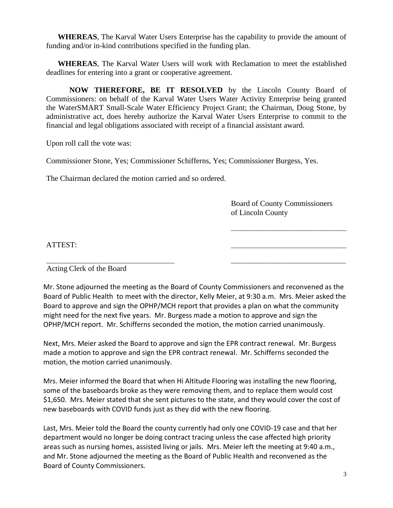**WHEREAS**, The Karval Water Users Enterprise has the capability to provide the amount of funding and/or in-kind contributions specified in the funding plan.

**WHEREAS**, The Karval Water Users will work with Reclamation to meet the established deadlines for entering into a grant or cooperative agreement.

**NOW THEREFORE, BE IT RESOLVED** by the Lincoln County Board of Commissioners: on behalf of the Karval Water Users Water Activity Enterprise being granted the WaterSMART Small-Scale Water Efficiency Project Grant; the Chairman, Doug Stone, by administrative act, does hereby authorize the Karval Water Users Enterprise to commit to the financial and legal obligations associated with receipt of a financial assistant award.

Upon roll call the vote was:

Commissioner Stone, Yes; Commissioner Schifferns, Yes; Commissioner Burgess, Yes.

The Chairman declared the motion carried and so ordered.

Board of County Commissioners of Lincoln County

\_\_\_\_\_\_\_\_\_\_\_\_\_\_\_\_\_\_\_\_\_\_\_\_\_\_\_\_\_\_\_\_\_\_\_\_

ATTEST: \_\_\_\_\_\_\_\_\_\_\_\_\_\_\_\_\_\_\_\_\_\_\_\_\_\_\_\_\_\_\_\_\_\_\_\_

Acting Clerk of the Board

Mr. Stone adjourned the meeting as the Board of County Commissioners and reconvened as the Board of Public Health to meet with the director, Kelly Meier, at 9:30 a.m. Mrs. Meier asked the Board to approve and sign the OPHP/MCH report that provides a plan on what the community might need for the next five years. Mr. Burgess made a motion to approve and sign the OPHP/MCH report. Mr. Schifferns seconded the motion, the motion carried unanimously.

\_\_\_\_\_\_\_\_\_\_\_\_\_\_\_\_\_\_\_\_\_\_\_\_\_\_\_\_\_\_\_\_\_\_\_\_\_\_\_\_ \_\_\_\_\_\_\_\_\_\_\_\_\_\_\_\_\_\_\_\_\_\_\_\_\_\_\_\_\_\_\_\_\_\_\_\_

Next, Mrs. Meier asked the Board to approve and sign the EPR contract renewal. Mr. Burgess made a motion to approve and sign the EPR contract renewal. Mr. Schifferns seconded the motion, the motion carried unanimously.

Mrs. Meier informed the Board that when Hi Altitude Flooring was installing the new flooring, some of the baseboards broke as they were removing them, and to replace them would cost \$1,650. Mrs. Meier stated that she sent pictures to the state, and they would cover the cost of new baseboards with COVID funds just as they did with the new flooring.

Last, Mrs. Meier told the Board the county currently had only one COVID-19 case and that her department would no longer be doing contract tracing unless the case affected high priority areas such as nursing homes, assisted living or jails. Mrs. Meier left the meeting at 9:40 a.m., and Mr. Stone adjourned the meeting as the Board of Public Health and reconvened as the Board of County Commissioners.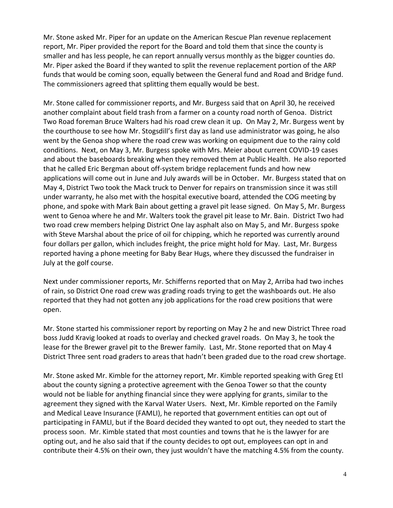Mr. Stone asked Mr. Piper for an update on the American Rescue Plan revenue replacement report, Mr. Piper provided the report for the Board and told them that since the county is smaller and has less people, he can report annually versus monthly as the bigger counties do. Mr. Piper asked the Board if they wanted to split the revenue replacement portion of the ARP funds that would be coming soon, equally between the General fund and Road and Bridge fund. The commissioners agreed that splitting them equally would be best.

Mr. Stone called for commissioner reports, and Mr. Burgess said that on April 30, he received another complaint about field trash from a farmer on a county road north of Genoa. District Two Road foreman Bruce Walters had his road crew clean it up. On May 2, Mr. Burgess went by the courthouse to see how Mr. Stogsdill's first day as land use administrator was going, he also went by the Genoa shop where the road crew was working on equipment due to the rainy cold conditions. Next, on May 3, Mr. Burgess spoke with Mrs. Meier about current COVID-19 cases and about the baseboards breaking when they removed them at Public Health. He also reported that he called Eric Bergman about off-system bridge replacement funds and how new applications will come out in June and July awards will be in October. Mr. Burgess stated that on May 4, District Two took the Mack truck to Denver for repairs on transmission since it was still under warranty, he also met with the hospital executive board, attended the COG meeting by phone, and spoke with Mark Bain about getting a gravel pit lease signed. On May 5, Mr. Burgess went to Genoa where he and Mr. Walters took the gravel pit lease to Mr. Bain. District Two had two road crew members helping District One lay asphalt also on May 5, and Mr. Burgess spoke with Steve Marshal about the price of oil for chipping, which he reported was currently around four dollars per gallon, which includes freight, the price might hold for May. Last, Mr. Burgess reported having a phone meeting for Baby Bear Hugs, where they discussed the fundraiser in July at the golf course.

Next under commissioner reports, Mr. Schifferns reported that on May 2, Arriba had two inches of rain, so District One road crew was grading roads trying to get the washboards out. He also reported that they had not gotten any job applications for the road crew positions that were open.

Mr. Stone started his commissioner report by reporting on May 2 he and new District Three road boss Judd Kravig looked at roads to overlay and checked gravel roads. On May 3, he took the lease for the Brewer gravel pit to the Brewer family. Last, Mr. Stone reported that on May 4 District Three sent road graders to areas that hadn't been graded due to the road crew shortage.

Mr. Stone asked Mr. Kimble for the attorney report, Mr. Kimble reported speaking with Greg Etl about the county signing a protective agreement with the Genoa Tower so that the county would not be liable for anything financial since they were applying for grants, similar to the agreement they signed with the Karval Water Users. Next, Mr. Kimble reported on the Family and Medical Leave Insurance (FAMLI), he reported that government entities can opt out of participating in FAMLI, but if the Board decided they wanted to opt out, they needed to start the process soon. Mr. Kimble stated that most counties and towns that he is the lawyer for are opting out, and he also said that if the county decides to opt out, employees can opt in and contribute their 4.5% on their own, they just wouldn't have the matching 4.5% from the county.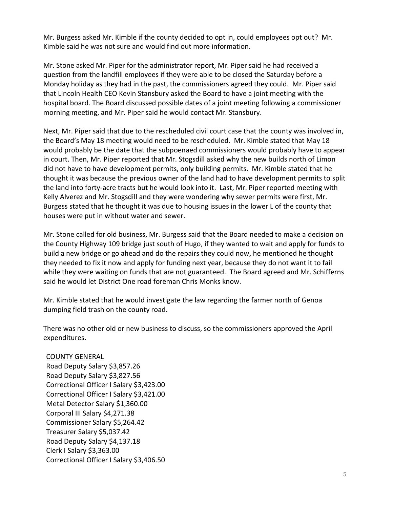Mr. Burgess asked Mr. Kimble if the county decided to opt in, could employees opt out? Mr. Kimble said he was not sure and would find out more information.

Mr. Stone asked Mr. Piper for the administrator report, Mr. Piper said he had received a question from the landfill employees if they were able to be closed the Saturday before a Monday holiday as they had in the past, the commissioners agreed they could. Mr. Piper said that Lincoln Health CEO Kevin Stansbury asked the Board to have a joint meeting with the hospital board. The Board discussed possible dates of a joint meeting following a commissioner morning meeting, and Mr. Piper said he would contact Mr. Stansbury.

Next, Mr. Piper said that due to the rescheduled civil court case that the county was involved in, the Board's May 18 meeting would need to be rescheduled. Mr. Kimble stated that May 18 would probably be the date that the subpoenaed commissioners would probably have to appear in court. Then, Mr. Piper reported that Mr. Stogsdill asked why the new builds north of Limon did not have to have development permits, only building permits. Mr. Kimble stated that he thought it was because the previous owner of the land had to have development permits to split the land into forty-acre tracts but he would look into it. Last, Mr. Piper reported meeting with Kelly Alverez and Mr. Stogsdill and they were wondering why sewer permits were first, Mr. Burgess stated that he thought it was due to housing issues in the lower L of the county that houses were put in without water and sewer.

Mr. Stone called for old business, Mr. Burgess said that the Board needed to make a decision on the County Highway 109 bridge just south of Hugo, if they wanted to wait and apply for funds to build a new bridge or go ahead and do the repairs they could now, he mentioned he thought they needed to fix it now and apply for funding next year, because they do not want it to fail while they were waiting on funds that are not guaranteed. The Board agreed and Mr. Schifferns said he would let District One road foreman Chris Monks know.

Mr. Kimble stated that he would investigate the law regarding the farmer north of Genoa dumping field trash on the county road.

There was no other old or new business to discuss, so the commissioners approved the April expenditures.

## COUNTY GENERAL

Road Deputy Salary \$3,857.26 Road Deputy Salary \$3,827.56 Correctional Officer I Salary \$3,423.00 Correctional Officer I Salary \$3,421.00 Metal Detector Salary \$1,360.00 Corporal III Salary \$4,271.38 Commissioner Salary \$5,264.42 Treasurer Salary \$5,037.42 Road Deputy Salary \$4,137.18 Clerk I Salary \$3,363.00 Correctional Officer I Salary \$3,406.50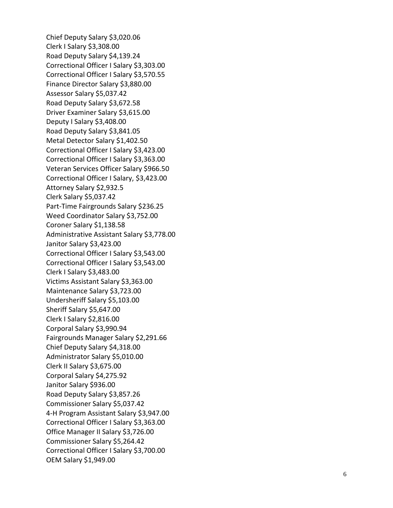Chief Deputy Salary \$3,020.06 Clerk I Salary \$3,308.00 Road Deputy Salary \$4,139.24 Correctional Officer I Salary \$3,303.00 Correctional Officer I Salary \$3,570.55 Finance Director Salary \$3,880.00 Assessor Salary \$5,037.42 Road Deputy Salary \$3,672.58 Driver Examiner Salary \$ 3 ,615.00 Deputy I Salary \$3,408.00 Road Deputy Salary \$3,841.05 Metal Detector Salary \$1,402.50 Correctional Officer I Salary \$3,423.00 Correctional Officer I Salary \$3,363.00 Veteran Services Officer Salary \$966.50 Correctional Officer I Salary, \$3,423.00 Attorney Salary \$2,932.5 Clerk Salary \$5,037.42 Part -Time Fairgrounds Salary \$236.25 Weed Coordinator Salary \$ 3 ,752.00 Coroner Salary \$1,138.58 Administrative Assistant Salary \$3,778.00 Janitor Salary \$3,423.00 Correctional Officer I Salary \$ 3 ,543.00 Correctional Officer I Salary \$3,543.00 Clerk I Salary \$3,483.0 0 Victim s Assistant Salary \$3,363.00 Maintenance Salary \$3,723.00 Undersheriff Salary \$ 5 ,103.00 Sheriff Salary \$5,647.00 Clerk I Salary \$2,816.00 Corporal Salary \$3,990.94 Fairgrounds Manager Salary \$ 2 ,291 .66 Chief Deputy Salary \$ 4 ,318.00 Administrator Salary \$5,010.00 Clerk II Salary \$ 3,675.00 Corporal Salary \$4,275.92 Janitor Salary \$936.00 Road Deputy Salary \$3,857.26 Commissioner Salary \$5,037.42 4-H Program Assistant Salary \$3,947.00 Correctional Officer I Salary \$3,363.00 Office Manager II Salary \$3,726.0 0 Commissioner Salary \$5,264.42 Correctional Officer I Salary \$3,700.00 OEM Salary \$1,949.00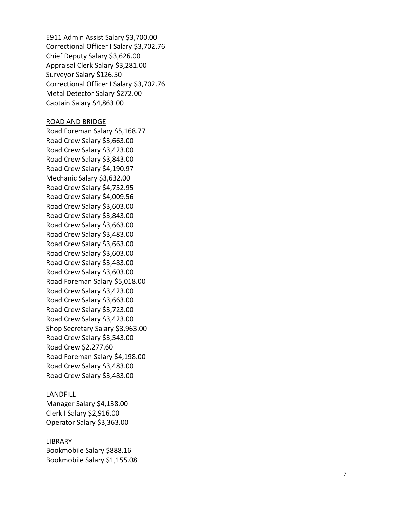E911 Admin Assist Salary \$3,700.00 Correctional Officer I Salary \$3,702.76 Chief Deputy Salary \$3,626.00 Appraisal Clerk Salary \$ 3,2 81.00 Surveyor Salary \$126.50 Correctional Officer I Salary \$3,702.76 Metal Detector Salary \$ 272.00 Captain Salary \$4,863.00

#### ROAD AND BRIDGE

Road Foreman Salary \$5,168.77 Road Crew Salary \$ 3,6 63.00 Road Crew Salary \$ 3 ,423.00 Road Crew Salary \$3,843.00 Road Crew Salary \$4,190.97 Mechanic Salary \$3,632.00 Road Crew Salary \$4,752.95 Road Crew Salary \$4,009.56 Road Crew Salary \$3,603.00 Road Crew Salary \$ 3 ,843.00 Road Crew Salary \$3,663.00 Road Crew Salary \$3,483.00 Road Crew Salary \$3,663.00 Road Crew Salary \$ 3 ,603.00 Road Crew Salary \$3,483.00 Road Crew Salary \$3,603.00 Road Foreman Salary \$5,018.00 Road Crew Salary \$ 3,423.00 Road Crew Salary \$3,663.00 Road Crew Salary \$3,723.00 Road Crew Salary \$3,423.00 Shop Secretary Salary \$3,963.00 Road Crew Salary \$3,543.00 Road Crew \$2,277.60 Road Foreman Salary \$4,198.00 Road Crew Salary \$3,483.00 Road Crew Salary \$3,483.00

#### LANDFILL

Manager Salary \$ 4 ,138.00 Clerk I Salary \$2,916.00 Operator Salary \$3,363.00

### **LIBRARY**

Bookmobile Salary \$888.16 Bookmobile Salary \$1,155.08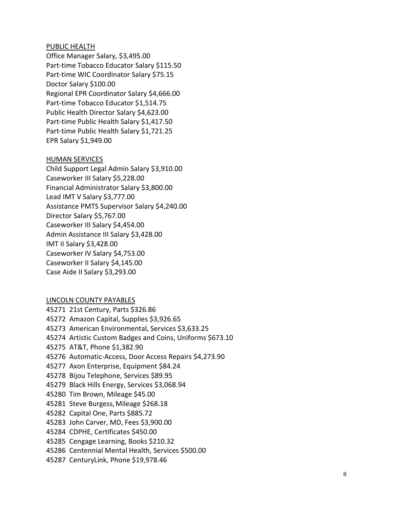### PUBLIC HEALTH

Office Manager Salary, \$3,495.00 Part - time Tobacco Educator Salary \$115.50 Part -time WIC Coordinator Salary \$75.15 Doctor Salary \$100.00 Regional EPR Coordinator Salary \$ 4,666.00 Part -time Tobacco Educator \$1,514.75 Public Health Director Salary \$4,623.00 Part - time Public Health Salary \$ 1,417.50 Part -time Public Health Salary \$1,721.25 EPR Salary \$1,9 4 9.00

### HUMAN SERVICES

Child Support Legal Admin Salary \$ 3 ,910.00 Caseworker III Salary \$ 5 ,228.00 Financial Administrator Salary \$3,800.00 Lead IMT V Salary \$ 3 , 777.00 Assistance PMTS Supervisor Salary \$4,240.00 Director Salary \$5,767.0 0 Caseworker III Salary \$ 4 ,454.00 Admin Assistance III Salary \$3,428.00 IMT II Salary \$3,428.00 Caseworker IV Salary \$4,753.00 Caseworker II Salary \$4, 145.00 Case Aide II Salary \$ 3,293.00

### LINCOLN COUNTY PAYABLES

 21st Century, Parts \$326.86 Amazon Capital, Supplies \$3,926.65 American Environmental, Services \$3,633.25 Artistic Custom Badges and Coins, Uniforms \$673.10 AT&T, Phone \$1,382.90 Automatic -Access, Door Access Repairs \$4,273.90 Axon Enterprise, Equipment \$84.24 Bijou Telephone, Services \$89.95 Black Hills Energy, Services \$3,068.94 Tim Brown, Mileage \$45.00 Steve Burgess,Mileage \$268.18 Capital One, Parts \$885.72 John Carver, MD, Fees \$3,900.00 CDPHE, Certificates \$450.00 Cengage Learning, Books \$210.32 Centennial Mental Health, Services \$500.00 CenturyLink, Phone \$19,978.46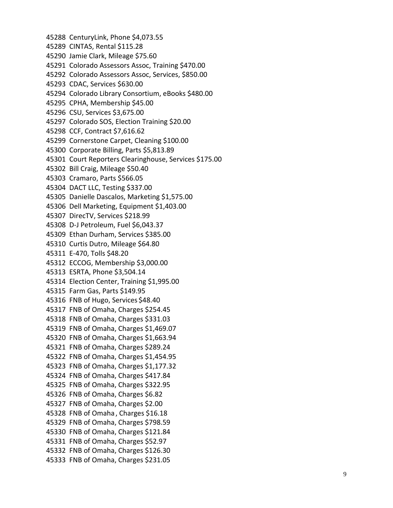CenturyLink, Phone \$4,073.55 CINTAS , Rental \$115.28 Jamie Clark, Mileage \$75.60 45291 Colorado Assessors Assoc, Training \$470.00 Colorado Assessors Assoc, Services, \$850.00 CDAC, Services \$630.00 Colorado Library Consortium, eBooks \$480.00 CPHA, Membership \$45.00 CSU, Services \$3,675.00 Colorado SOS, Election Training \$20.00 CCF, Contract \$7,616.62 Cornerstone Carpet, Cleaning \$100.00 Corporate Billing, Parts \$5,813.89 Court Reporters Clearinghouse, Services \$175.00 Bill Craig, Mileage \$50.40 Cramaro, Parts \$566.05 DACT LLC, Testing \$337.00 Danielle Dascalos, Marketing \$1,575.00 Dell Marketing, Equipment \$1,403.00 DirecTV, Services \$218.99 D -J Petroleum, Fuel \$6,043.37 Ethan Durham, Services \$385.00 Curtis Dutro, Mileage \$64.80 E -470, Tolls \$48.20 2 ECC OG, Membership \$3,000.00 ESRTA, Phone \$3,504.14 Election Center, Training \$1,995.00 Farm Gas, Parts \$149.95 FNB of Hugo, Services \$48.40 FNB of Omaha, Charges \$254.45 FNB of Omaha, Charges \$331.03 FNB of Omaha, Charges \$1,469.07 FNB of Omaha, Charges \$1,663.94 FNB of Omaha, Charges \$289.24 FNB of Omaha, Charges \$1,454.95 FNB of Omaha, Charges \$1,177.32 FNB of Omaha, Charges \$417.84 FNB of Omaha, Charges \$322.95 FNB of Omaha, Charges \$6.82 FNB of Omaha, Charges \$2.00 FNB of Omaha, Charges \$16.18 FNB of Omaha, Charges \$798.59 FNB of Omaha, Charges \$121.84 FNB of Omaha, Charges \$52.97 FNB of Omaha, Charges \$126.30 FNB of Omaha, Charges \$231.05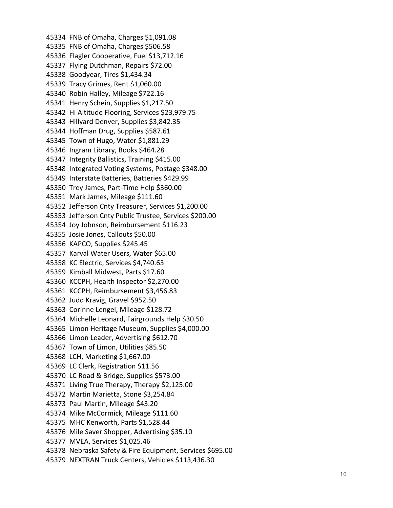FNB of Omaha, Charges \$1,091.08 FNB of Omaha, Charges \$506.58 Flagler Cooperative, Fuel \$13,712.16 Flying Dutchman, Repairs \$72.00 Goodyear, Tires \$1,434.34 Tracy Grimes, Rent \$1,060.00 Robin Halley, Mileage \$722.16 Henry Schein, Supplies \$1,217.50 Hi Altitude Flooring, Services \$23,979.75 Hillyard Denver, Supplies \$3,842.35 Hoffman Drug, Supplies \$587.61 Town of Hugo, Water \$1,881.29 Ingram Library, Books \$464.28 Integrity Ballistics, Training \$415.00 Integrated Voting Systems, Postage \$348.00 Interstate Batteries, Batteries \$429.99 Trey James, Part -Time Help \$360.00 Mark James, Mileage \$111.60 Jefferson Cnty Treasurer, Services \$1,200.00 Jefferson Cnty Public Trustee, Services \$200.00 Joy Johnson, Reimbursement \$116.23 Josie Jones, Callouts \$50.00 KAPCO, Supplie s \$245.45 Karval Water Users, Water \$65.00 KC Electric, Services \$4,740.63 Kimball Midwest, Parts \$17.60 KCCPH, Health Inspector \$2,270.00 KCCPH, Reimbursement \$3,456.83 Judd Kravig, Gravel \$952.50 Corinne Lengel, Mileage \$128.72 Michelle Leonard, Fairgrounds Help \$30.50 Limon Heritage Museum, Supplies \$4,000.00 Limon Leader, Advertising \$612.70 Town of Limon, Utilities \$85.50 LCH, Marketing \$1,667.00 LC Clerk, Registration \$11.56 LC Road & Bridge, Supplies \$573.00 Living True Therapy, Therapy \$2,125.00 Martin Marietta, Stone \$3,254.84 Paul Martin, Mileage \$43.20 Mike McCormick, Mileage \$111.60 MHC Kenworth, Parts \$1,528.44 Mile Saver Shopper, Advertising \$35.10 MVEA, Services \$1,025.46 Nebraska Safety & Fire Equipment, Services \$695.00 NEXTRAN Truck Centers, Vehicles \$113,436.30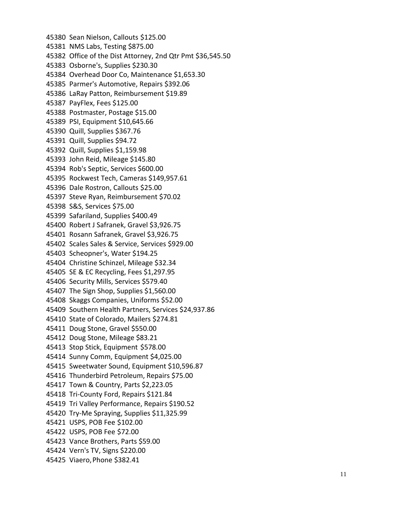Sean Nielson, Callouts \$125.00 NMS Labs, Testing \$875.00 Office of the Dist Attorney, 2nd Qtr Pmt \$36,545.50 Osborne's, Supplies \$230.30 Overhead Door Co, Maintenance \$1,653.30 Parmer's Automotive, Repairs \$392.06 LaRay Patton, Reimbursement \$19.89 PayFlex, Fees \$125.00 Postmaster, Postage \$15.00 PSI, Equipment \$10,645.66 Quill, Supplies \$367.76 Quill, Supplies \$94.72 Quill, Supplies \$1,159.98 John Reid, Mileage \$145.80 Rob's Septic, Services \$600.00 Rockwest Tech, Cameras \$149,957.61 Dale Rostron, Callouts \$25.00 Steve Ryan, Reimbursement \$70.02 S&S, Services \$75.00 Safariland, Supplies \$400.49 Robert J Safranek, Gravel \$3,926.75 Rosann Safranek, Gravel \$3,926.75 Scales Sales & Service, Services \$929.00 Scheopner's, Water \$194.25 Christine Schinzel, Mileage \$32.34 SE & EC Recycling, Fees \$1,297.95 Security Mills, Services \$579.40 The Sign Shop, Supplies \$1,560.00 Skaggs Companies, Uniforms \$52.00 Southern Health Partners, Services \$24,937.86 State of Colorado, Mailers \$274.81 Doug Stone, Gravel \$550.00 Doug Stone, Mileage \$83.21 Stop Stick, Equipment \$578.00 Sunny Comm, Equipment \$4,025.00 Sweetwater Sound, Equipment \$10,596.87 Thunderbird Petroleum, Repairs \$75.00 Town & Country, Parts \$2,223.05 Tri -County Ford, Repairs \$121.84 Tri Valley Performance, Repairs \$190.52 Try -Me Spraying, Supplies \$11,325.99 USPS, POB Fee \$102.00 USPS, POB Fee \$72.00 Vance Brothers, Parts \$59.00 Vern's TV, Signs \$220.00 Viaero,Phone \$382.41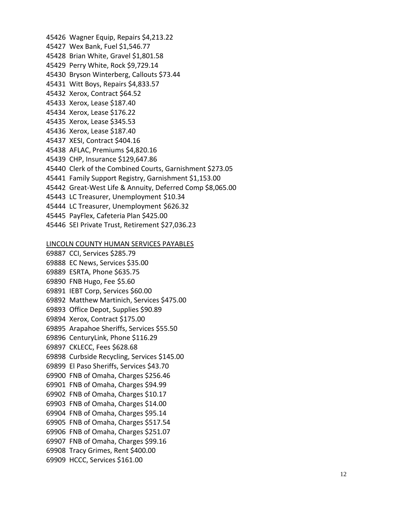Wagner Equip, Repairs \$4,213.22 Wex Bank, Fuel \$1,546.77 Brian White, Gravel \$1,801.58 Perry White, Rock \$9,729.14 Bryson Winterberg, Callouts \$73.44 Witt Boys, Repairs \$4,833.57 Xerox, Contract \$64.52 Xerox, Lease \$187.40 Xerox, Lease \$176.22 Xerox, Lease \$345.53 Xerox, Lease \$187.40 XESI, Contract \$404.16 AFLAC, Premiums \$4,820.16 CHP, Insurance \$129,647.86 0 Clerk of the Combined Courts, Garnishment \$273.05 Family Support Registry, Garnishment \$1,153.00 Great -West Life & Annuity, Deferred Comp \$8,065.00 LC Treasurer, Unemployment \$10.34 LC Treasurer, Unemployment \$626.32 PayFlex, Cafeteria Plan \$425.00 SEI Private Trust, Retirement \$27,036.23

#### LINCOLN COUNTY HUMAN SERVICES PAYABLES

 CCI, Services \$285.79 EC News, Services \$35.00 ESRTA, Phone \$635.75 FNB Hugo, Fee \$5.60 IEBT Corp, Services \$60.00 Matthew Martinich, Services \$475.00 Office Depot, Supplies \$90.89 Xerox, Contract \$175.00 Arapahoe Sheriffs, Services \$55.50 CenturyLink, Phone \$116.29 CKLECC, Fees \$628.68 Curbside Recycling, Services \$145.00 El Paso Sheriffs, Services \$43.70 FNB of Omaha, Charges \$256.46 FNB of Omaha, Charges \$94.99 FNB of Omaha, Charges \$10.17 FNB of Omaha, Charges \$14.00 FNB of Omaha, Charges \$95.14 FNB of Omaha, Charges \$517.54 FNB of Omaha, Charges \$251.07 FNB of Omaha, Charges \$99.16 Tracy Grimes, Rent \$400.00 HCCC, Services \$161.00